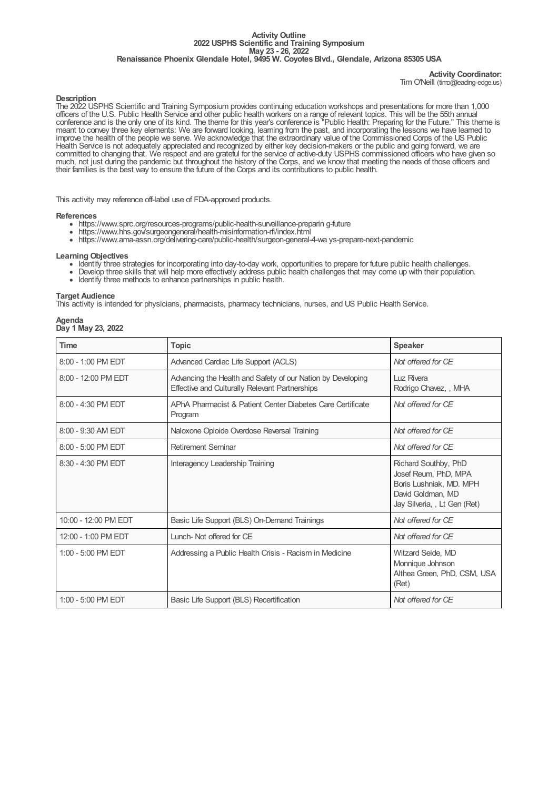#### **Activity Outline 2022 USPHS Scientific and Training Symposium May 23 - 26, 2022 Renaissance Phoenix Glendale Hotel, 9495 W. CoyotesBlvd., Glendale, Arizona 85305 USA**

## **Activity Coordinator:** Tim O'Neill (timo@leading-edge.us)

## **Description**

The 2022 USPHS Scientific and Training Symposium provides continuing education workshops and presentations for more than 1,000 officers of the U.S. Public Health Service and other public health workers on a range of relevant topics. This will be the 55th annual conference and is the only one of its kind. The theme for this year's conference is "Public Health: Preparing for the Future." This theme is meant to convey three key elements: We are forward looking, learning from the past, and incorporating the lessons we have learned to improve the health of the people we serve. We acknowledge that the extraordinary value of the Commissioned Corps of the US Public Health Service is not adequately appreciated and recognized by either key decision-makers or the public and going forward, we are committed to changing that. We respect and are grateful for the service of active-duty USPHS commissioned officers who have given so much, not just during the pandemic but throughout the history of the Corps, and we know that meeting the needs of those officers and their families is the best way to ensure the future of the Corps and its contributions to public health.

This activity may reference off-label use of FDA-approved products.

### **References**

- https://www.sprc.org/resources-programs/public-health-surveillance-preparin g-future
- https://www.hhs.gov/surgeongeneral/health-misinformation-rfi/index.html
- https://www.ama-assn.org/delivering-care/public-health/surgeon-general-4-wa ys-prepare-next-pandemic

## **Learning Objectives**

- Identify three strategies for incorporating into day-to-day work, opportunities to prepare for future public health challenges.
- Develop three skills that will help more effectively address public health challenges that may come up with their population.
- Identify three methods to enhance partnerships in public health.

## **Target Audience**

This activity is intended for physicians, pharmacists, pharmacy technicians, nurses, and US Public Health Service.

#### **Agenda Day 1 May 23, 2022**

| <b>Time</b>          | <b>Topic</b>                                                                                                  | <b>Speaker</b>                                                                                                               |
|----------------------|---------------------------------------------------------------------------------------------------------------|------------------------------------------------------------------------------------------------------------------------------|
| $8:00 - 1:00$ PM EDT | Advanced Cardiac Life Support (ACLS)                                                                          | Not offered for CE                                                                                                           |
| 8:00 - 12:00 PM EDT  | Advancing the Health and Safety of our Nation by Developing<br>Effective and Culturally Relevant Partnerships | Luz Rivera<br>Rodrigo Chavez, , MHA                                                                                          |
| 8:00 - 4:30 PM EDT   | APhA Pharmacist & Patient Center Diabetes Care Certificate<br>Program                                         | Not offered for CE                                                                                                           |
| 8:00 - 9:30 AM EDT   | Naloxone Opioide Overdose Reversal Training                                                                   | Not offered for CF                                                                                                           |
| $8:00 - 5:00$ PM EDT | <b>Retirement Seminar</b>                                                                                     | Not offered for CE                                                                                                           |
| $8:30 - 4:30$ PM EDT | Interagency Leadership Training                                                                               | Richard Southby, PhD<br>Josef Reum, PhD, MPA<br>Boris Lushniak, MD. MPH<br>David Goldman, MD<br>Jay Silveria, , Lt Gen (Ret) |
| 10:00 - 12:00 PM EDT | Basic Life Support (BLS) On-Demand Trainings                                                                  | Not offered for CE                                                                                                           |
| 12:00 - 1:00 PM EDT  | Lunch-Not offered for CE                                                                                      | Not offered for CE                                                                                                           |
| $1:00 - 5:00$ PM EDT | Addressing a Public Health Crisis - Racism in Medicine                                                        | Witzard Seide, MD<br>Monnique Johnson<br>Althea Green, PhD, CSM, USA<br>(Ret)                                                |
| 1:00 - 5:00 PM EDT   | Basic Life Support (BLS) Recertification                                                                      | Not offered for CE                                                                                                           |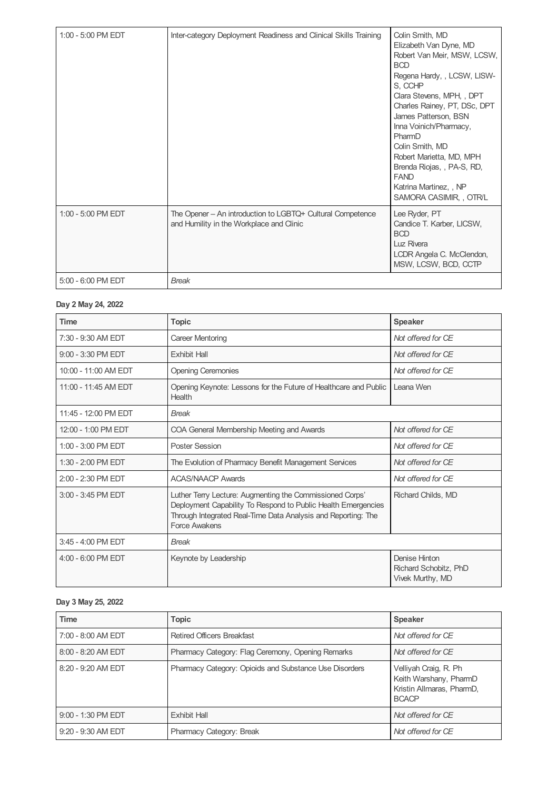| $1:00 - 5:00$ PM EDT | Inter-category Deployment Readiness and Clinical Skills Training                                       | Colin Smith, MD<br>Elizabeth Van Dyne, MD<br>Robert Van Meir, MSW, LCSW,<br><b>BCD</b><br>Regena Hardy, , LCSW, LISW-<br>S, CCHP<br>Clara Stevens, MPH, , DPT<br>Charles Rainey, PT, DSc, DPT<br>James Patterson, BSN<br>Inna Voinich/Pharmacy,<br>PharmD<br>Colin Smith, MD<br>Robert Marietta, MD, MPH<br>Brenda Riojas,, PA-S, RD,<br><b>FAND</b><br>Katrina Martinez, , NP<br>SAMORA CASIMIR, , OTR/L |
|----------------------|--------------------------------------------------------------------------------------------------------|-----------------------------------------------------------------------------------------------------------------------------------------------------------------------------------------------------------------------------------------------------------------------------------------------------------------------------------------------------------------------------------------------------------|
| 1:00 - 5:00 PM EDT   | The Opener - An introduction to LGBTQ+ Cultural Competence<br>and Humility in the Workplace and Clinic | Lee Ryder, PT<br>Candice T. Karber, LICSW,<br><b>BCD</b><br>Luz Rivera<br>LCDR Angela C. McClendon,<br>MSW, LCSW, BCD, CCTP                                                                                                                                                                                                                                                                               |
| 5:00 - 6:00 PM EDT   | <b>Break</b>                                                                                           |                                                                                                                                                                                                                                                                                                                                                                                                           |

# **Day 2 May 24, 2022**

| <b>Time</b>          | <b>Topic</b>                                                                                                                                                                                                       | <b>Speaker</b>                                             |
|----------------------|--------------------------------------------------------------------------------------------------------------------------------------------------------------------------------------------------------------------|------------------------------------------------------------|
| 7:30 - 9:30 AM EDT   | Career Mentoring                                                                                                                                                                                                   | Not offered for CE                                         |
| 9:00 - 3:30 PM EDT   | <b>Exhibit Hall</b>                                                                                                                                                                                                | Not offered for CE                                         |
| 10:00 - 11:00 AM EDT | <b>Opening Ceremonies</b>                                                                                                                                                                                          | Not offered for CE                                         |
| 11:00 - 11:45 AM FDT | Opening Keynote: Lessons for the Future of Healthcare and Public<br>Health                                                                                                                                         | Leana Wen                                                  |
| 11:45 - 12:00 PM EDT | <b>Break</b>                                                                                                                                                                                                       |                                                            |
| 12:00 - 1:00 PM EDT  | COA General Membership Meeting and Awards                                                                                                                                                                          | Not offered for CF                                         |
| 1:00 - 3:00 PM EDT   | <b>Poster Session</b>                                                                                                                                                                                              | Not offered for CE                                         |
| $1:30 - 2:00$ PM EDT | The Evolution of Pharmacy Benefit Management Services                                                                                                                                                              | Not offered for CE                                         |
| $2:00 - 2:30$ PM EDT | <b>ACAS/NAACP Awards</b>                                                                                                                                                                                           | Not offered for CE                                         |
| 3:00 - 3:45 PM EDT   | Luther Terry Lecture: Augmenting the Commissioned Corps'<br>Deployment Capability To Respond to Public Health Emergencies<br>Through Integrated Real-Time Data Analysis and Reporting: The<br><b>Force Awakens</b> | Richard Childs, MD                                         |
| $3:45 - 4:00$ PM EDT | <b>Break</b>                                                                                                                                                                                                       |                                                            |
| $4:00 - 6:00$ PM EDT | Keynote by Leadership                                                                                                                                                                                              | Denise Hinton<br>Richard Schobitz, PhD<br>Vivek Murthy, MD |

# **Day 3 May 25, 2022**

| <b>Time</b>          | <b>Topic</b>                                           | <b>Speaker</b>                                                                               |
|----------------------|--------------------------------------------------------|----------------------------------------------------------------------------------------------|
| 7:00 - 8:00 AM EDT   | <b>Retired Officers Breakfast</b>                      | Not offered for CE                                                                           |
| $8:00 - 8:20$ AM EDT | Pharmacy Category: Flag Ceremony, Opening Remarks      | Not offered for CE                                                                           |
| 8:20 - 9:20 AM EDT   | Pharmacy Category: Opioids and Substance Use Disorders | Velliyah Craig, R. Ph<br>Keith Warshany, PharmD<br>Kristin Allmaras, PharmD,<br><b>BCACP</b> |
| 9:00 - 1:30 PM EDT   | <b>Exhibit Hall</b>                                    | Not offered for CE                                                                           |
| $9:20 - 9:30$ AM EDT | Pharmacy Category: Break                               | Not offered for CE                                                                           |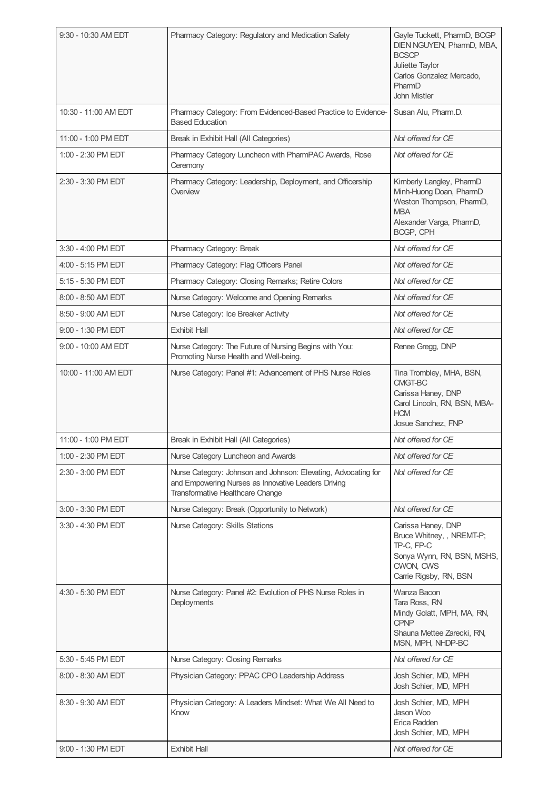| 9:30 - 10:30 AM EDT  | Pharmacy Category: Regulatory and Medication Safety                                                                                                       | Gayle Tuckett, PharmD, BCGP<br>DIEN NGUYEN, PharmD, MBA,<br><b>BCSCP</b><br>Juliette Taylor<br>Carlos Gonzalez Mercado,<br>PharmD<br><b>John Mistler</b> |
|----------------------|-----------------------------------------------------------------------------------------------------------------------------------------------------------|----------------------------------------------------------------------------------------------------------------------------------------------------------|
| 10:30 - 11:00 AM EDT | Pharmacy Category: From Evidenced-Based Practice to Evidence-<br><b>Based Education</b>                                                                   | Susan Alu, Pharm.D.                                                                                                                                      |
| 11:00 - 1:00 PM EDT  | Break in Exhibit Hall (All Categories)                                                                                                                    | Not offered for CE                                                                                                                                       |
| 1:00 - 2:30 PM EDT   | Pharmacy Category Luncheon with PharmPAC Awards, Rose<br>Ceremony                                                                                         | Not offered for CE                                                                                                                                       |
| 2:30 - 3:30 PM EDT   | Pharmacy Category: Leadership, Deployment, and Officership<br>Overview                                                                                    | Kimberly Langley, PharmD<br>Minh-Huong Doan, PharmD<br>Weston Thompson, PharmD,<br><b>MBA</b><br>Alexander Varga, PharmD,<br>BCGP, CPH                   |
| 3:30 - 4:00 PM EDT   | Pharmacy Category: Break                                                                                                                                  | Not offered for CE                                                                                                                                       |
| 4:00 - 5:15 PM EDT   | Pharmacy Category: Flag Officers Panel                                                                                                                    | Not offered for CE                                                                                                                                       |
| 5:15 - 5:30 PM EDT   | Pharmacy Category: Closing Remarks; Retire Colors                                                                                                         | Not offered for CE                                                                                                                                       |
| 8:00 - 8:50 AM EDT   | Nurse Category: Welcome and Opening Remarks                                                                                                               | Not offered for CE                                                                                                                                       |
| 8:50 - 9:00 AM EDT   | Nurse Category: Ice Breaker Activity                                                                                                                      | Not offered for CE                                                                                                                                       |
| $9:00 - 1:30$ PM EDT | <b>Exhibit Hall</b>                                                                                                                                       | Not offered for CE                                                                                                                                       |
| 9:00 - 10:00 AM EDT  | Nurse Category: The Future of Nursing Begins with You:<br>Promoting Nurse Health and Well-being.                                                          | Renee Gregg, DNP                                                                                                                                         |
| 10:00 - 11:00 AM EDT | Nurse Category: Panel #1: Advancement of PHS Nurse Roles                                                                                                  | Tina Trombley, MHA, BSN,<br>CMGT-BC<br>Carissa Haney, DNP<br>Carol Lincoln, RN, BSN, MBA-<br><b>HCM</b><br>Josue Sanchez, FNP                            |
| 11:00 - 1:00 PM EDT  | Break in Exhibit Hall (All Categories)                                                                                                                    | Not offered for CE                                                                                                                                       |
| 1:00 - 2:30 PM EDT   | Nurse Category Luncheon and Awards                                                                                                                        | Not offered for CE                                                                                                                                       |
| 2:30 - 3:00 PM EDT   | Nurse Category: Johnson and Johnson: Elevating, Advocating for<br>and Empowering Nurses as Innovative Leaders Driving<br>Transformative Healthcare Change | Not offered for CE                                                                                                                                       |
| 3:00 - 3:30 PM EDT   | Nurse Category: Break (Opportunity to Network)                                                                                                            | Not offered for CE                                                                                                                                       |
| 3:30 - 4:30 PM EDT   | Nurse Category: Skills Stations                                                                                                                           | Carissa Haney, DNP<br>Bruce Whitney, , NREMT-P;<br>TP-C, FP-C<br>Sonya Wynn, RN, BSN, MSHS,<br>CWON, CWS<br>Carrie Rigsby, RN, BSN                       |
| 4:30 - 5:30 PM EDT   | Nurse Category: Panel #2: Evolution of PHS Nurse Roles in<br>Deployments                                                                                  | Wanza Bacon<br>Tara Ross, RN<br>Mindy Golatt, MPH, MA, RN,<br><b>CPNP</b><br>Shauna Mettee Zarecki, RN,<br>MSN, MPH, NHDP-BC                             |
| 5:30 - 5:45 PM EDT   | Nurse Category: Closing Remarks                                                                                                                           | Not offered for CE                                                                                                                                       |
| 8:00 - 8:30 AM EDT   | Physician Category: PPAC CPO Leadership Address                                                                                                           | Josh Schier, MD, MPH<br>Josh Schier, MD, MPH                                                                                                             |
| 8:30 - 9:30 AM EDT   | Physician Category: A Leaders Mindset: What We All Need to<br>Know                                                                                        | Josh Schier, MD, MPH<br>Jason Woo<br>Erica Radden<br>Josh Schier, MD, MPH                                                                                |
| 9:00 - 1:30 PM EDT   | <b>Exhibit Hall</b>                                                                                                                                       | Not offered for CE                                                                                                                                       |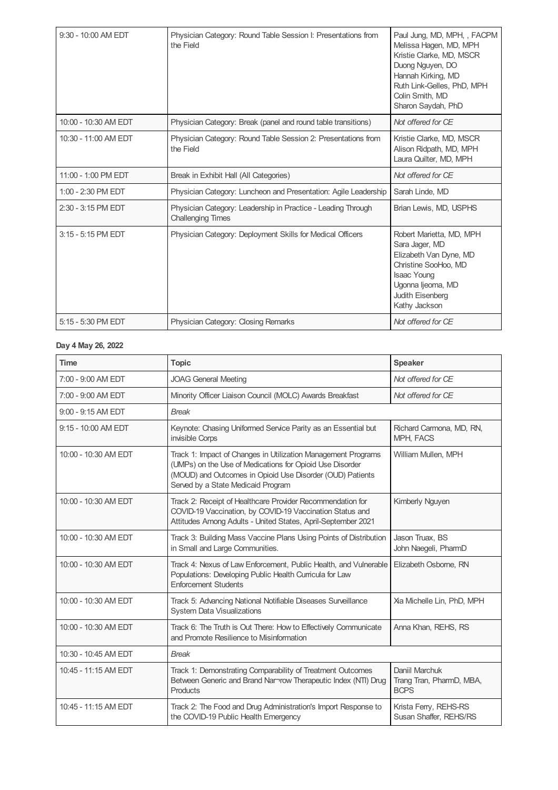| 9:30 - 10:00 AM EDT  | Physician Category: Round Table Session I: Presentations from<br>the Field               | Paul Jung, MD, MPH, , FACPM<br>Melissa Hagen, MD, MPH<br>Kristie Clarke, MD, MSCR<br>Duong Nguyen, DO<br>Hannah Kirking, MD<br>Ruth Link-Gelles, PhD, MPH<br>Colin Smith, MD<br>Sharon Saydah, PhD |
|----------------------|------------------------------------------------------------------------------------------|----------------------------------------------------------------------------------------------------------------------------------------------------------------------------------------------------|
| 10:00 - 10:30 AM EDT | Physician Category: Break (panel and round table transitions)                            | Not offered for CE                                                                                                                                                                                 |
| 10:30 - 11:00 AM EDT | Physician Category: Round Table Session 2: Presentations from<br>the Field               | Kristie Clarke, MD, MSCR<br>Alison Ridpath, MD, MPH<br>Laura Quilter, MD, MPH                                                                                                                      |
| 11:00 - 1:00 PM EDT  | Break in Exhibit Hall (All Categories)                                                   | Not offered for CE                                                                                                                                                                                 |
| $1:00 - 2:30$ PM EDT | Physician Category: Luncheon and Presentation: Agile Leadership                          | Sarah Linde, MD                                                                                                                                                                                    |
| 2:30 - 3:15 PM EDT   | Physician Category: Leadership in Practice - Leading Through<br><b>Challenging Times</b> | Brian Lewis, MD, USPHS                                                                                                                                                                             |
| 3:15 - 5:15 PM EDT   | Physician Category: Deployment Skills for Medical Officers                               | Robert Marietta, MD, MPH<br>Sara Jager, MD<br>Elizabeth Van Dyne, MD<br>Christine SooHoo, MD<br><b>Isaac Young</b><br>Ugonna ljeoma, MD<br>Judith Eisenberg<br>Kathy Jackson                       |
| 5:15 - 5:30 PM EDT   | Physician Category: Closing Remarks                                                      | Not offered for CE                                                                                                                                                                                 |

# **Day 4 May 26, 2022**

| <b>Time</b>          | <b>Topic</b>                                                                                                                                                                                                                 | Speaker                                                   |
|----------------------|------------------------------------------------------------------------------------------------------------------------------------------------------------------------------------------------------------------------------|-----------------------------------------------------------|
| 7:00 - 9:00 AM EDT   | <b>JOAG General Meeting</b>                                                                                                                                                                                                  | Not offered for CE                                        |
| 7:00 - 9:00 AM EDT   | Minority Officer Liaison Council (MOLC) Awards Breakfast                                                                                                                                                                     | Not offered for CE                                        |
| 9:00 - 9:15 AM EDT   | <b>Break</b>                                                                                                                                                                                                                 |                                                           |
| 9:15 - 10:00 AM EDT  | Keynote: Chasing Uniformed Service Parity as an Essential but<br>invisible Corps                                                                                                                                             | Richard Carmona, MD, RN,<br>MPH, FACS                     |
| 10:00 - 10:30 AM EDT | Track 1: Impact of Changes in Utilization Management Programs<br>(UMPs) on the Use of Medications for Opioid Use Disorder<br>(MOUD) and Outcomes in Opioid Use Disorder (OUD) Patients<br>Served by a State Medicaid Program | William Mullen, MPH                                       |
| 10:00 - 10:30 AM EDT | Track 2: Receipt of Healthcare Provider Recommendation for<br>COVID-19 Vaccination, by COVID-19 Vaccination Status and<br>Attitudes Among Adults - United States, April-September 2021                                       | Kimberly Nguyen                                           |
| 10:00 - 10:30 AM EDT | Track 3: Building Mass Vaccine Plans Using Points of Distribution<br>in Small and Large Communities.                                                                                                                         | Jason Truax, BS<br>John Naegeli, PharmD                   |
| 10:00 - 10:30 AM EDT | Track 4: Nexus of Law Enforcement, Public Health, and Vulnerable<br>Populations: Developing Public Health Curricula for Law<br><b>Enforcement Students</b>                                                                   | Elizabeth Osborne, RN                                     |
| 10:00 - 10:30 AM EDT | Track 5: Advancing National Notifiable Diseases Surveillance<br><b>System Data Visualizations</b>                                                                                                                            | Xia Michelle Lin, PhD, MPH                                |
| 10:00 - 10:30 AM EDT | Track 6: The Truth is Out There: How to Effectively Communicate<br>and Promote Resilience to Misinformation                                                                                                                  | Anna Khan, REHS, RS                                       |
| 10:30 - 10:45 AM EDT | <b>Break</b>                                                                                                                                                                                                                 |                                                           |
| 10:45 - 11:15 AM EDT | Track 1: Demonstrating Comparability of Treatment Outcomes<br>Between Generic and Brand Nar-row Therapeutic Index (NTI) Drug<br>Products                                                                                     | Daniil Marchuk<br>Trang Tran, PharmD, MBA,<br><b>BCPS</b> |
| 10:45 - 11:15 AM EDT | Track 2: The Food and Drug Administration's Import Response to<br>the COVID-19 Public Health Emergency                                                                                                                       | Krista Ferry, REHS-RS<br>Susan Shaffer, REHS/RS           |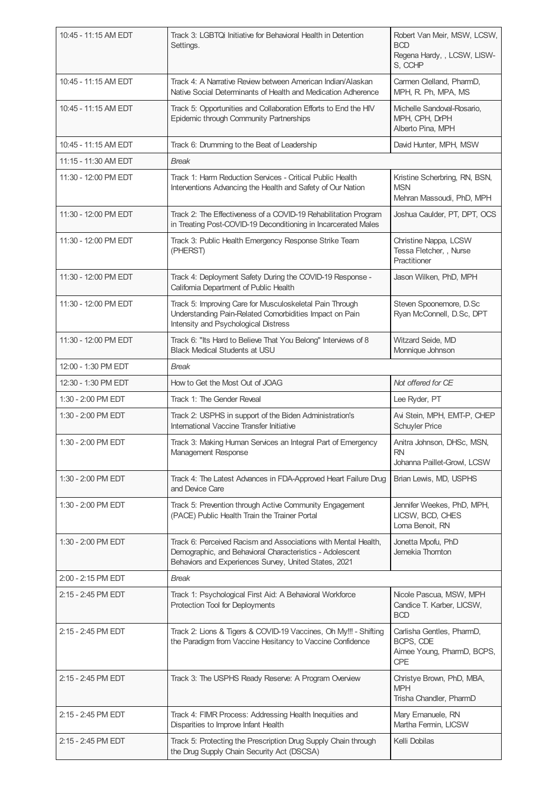| 10:45 - 11:15 AM EDT | Track 3: LGBTQi Initiative for Behavioral Health in Detention<br>Settings.                                                                                                          | Robert Van Meir, MSW, LCSW,<br><b>BCD</b><br>Regena Hardy, , LCSW, LISW-<br>S, CCHP |
|----------------------|-------------------------------------------------------------------------------------------------------------------------------------------------------------------------------------|-------------------------------------------------------------------------------------|
| 10:45 - 11:15 AM EDT | Track 4: A Narrative Review between American Indian/Alaskan<br>Native Social Determinants of Health and Medication Adherence                                                        | Carmen Clelland, PharmD,<br>MPH, R. Ph, MPA, MS                                     |
| 10:45 - 11:15 AM EDT | Track 5: Opportunities and Collaboration Efforts to End the HIV<br>Epidemic through Community Partnerships                                                                          | Michelle Sandoval-Rosario,<br>MPH, CPH, DrPH<br>Alberto Pina, MPH                   |
| 10:45 - 11:15 AM EDT | Track 6: Drumming to the Beat of Leadership                                                                                                                                         | David Hunter, MPH, MSW                                                              |
| 11:15 - 11:30 AM EDT | <b>Break</b>                                                                                                                                                                        |                                                                                     |
| 11:30 - 12:00 PM EDT | Track 1: Harm Reduction Services - Critical Public Health<br>Interventions Advancing the Health and Safety of Our Nation                                                            | Kristine Scherbring, RN, BSN,<br><b>MSN</b><br>Mehran Massoudi, PhD, MPH            |
| 11:30 - 12:00 PM EDT | Track 2: The Effectiveness of a COVID-19 Rehabilitation Program<br>in Treating Post-COVID-19 Deconditioning in Incarcerated Males                                                   | Joshua Caulder, PT, DPT, OCS                                                        |
| 11:30 - 12:00 PM EDT | Track 3: Public Health Emergency Response Strike Team<br>(PHERST)                                                                                                                   | Christine Nappa, LCSW<br>Tessa Fletcher, , Nurse<br>Practitioner                    |
| 11:30 - 12:00 PM EDT | Track 4: Deployment Safety During the COVID-19 Response -<br>California Department of Public Health                                                                                 | Jason Wilken, PhD, MPH                                                              |
| 11:30 - 12:00 PM EDT | Track 5: Improving Care for Musculoskeletal Pain Through<br>Understanding Pain-Related Comorbidities Impact on Pain<br>Intensity and Psychological Distress                         | Steven Spoonemore, D.Sc<br>Ryan McConnell, D.Sc, DPT                                |
| 11:30 - 12:00 PM EDT | Track 6: "Its Hard to Believe That You Belong" Interviews of 8<br><b>Black Medical Students at USU</b>                                                                              | Witzard Seide, MD<br>Monnique Johnson                                               |
| 12:00 - 1:30 PM EDT  | <b>Break</b>                                                                                                                                                                        |                                                                                     |
| 12:30 - 1:30 PM EDT  | How to Get the Most Out of JOAG                                                                                                                                                     | Not offered for CE                                                                  |
| 1:30 - 2:00 PM EDT   | Track 1: The Gender Reveal                                                                                                                                                          | Lee Ryder, PT                                                                       |
|                      |                                                                                                                                                                                     |                                                                                     |
| 1:30 - 2:00 PM EDT   | Track 2: USPHS in support of the Biden Administration's<br>International Vaccine Transfer Initiative                                                                                | Avi Stein, MPH, EMT-P, CHEP<br><b>Schuyler Price</b>                                |
| 1:30 - 2:00 PM EDT   | Track 3: Making Human Services an Integral Part of Emergency<br>Management Response                                                                                                 | Anitra Johnson, DHSc, MSN,<br><b>RN</b><br>Johanna Paillet-Growl, LCSW              |
| 1:30 - 2:00 PM EDT   | Track 4: The Latest Advances in FDA-Approved Heart Failure Drug<br>and Device Care                                                                                                  | Brian Lewis, MD, USPHS                                                              |
| 1:30 - 2:00 PM EDT   | Track 5: Prevention through Active Community Engagement<br>(PACE) Public Health Train the Trainer Portal                                                                            | Jennifer Weekes, PhD, MPH,<br>LICSW, BCD, CHES<br>Lorna Benoit, RN                  |
| 1:30 - 2:00 PM EDT   | Track 6: Perceived Racism and Associations with Mental Health,<br>Demographic, and Behavioral Characteristics - Adolescent<br>Behaviors and Experiences Survey, United States, 2021 | Jonetta Mpofu, PhD<br>Jemekia Thomton                                               |
| 2:00 - 2:15 PM EDT   | <b>Break</b>                                                                                                                                                                        |                                                                                     |
| 2:15 - 2:45 PM EDT   | Track 1: Psychological First Aid: A Behavioral Workforce<br>Protection Tool for Deployments                                                                                         | Nicole Pascua, MSW, MPH<br>Candice T. Karber, LICSW,<br><b>BCD</b>                  |
| 2:15 - 2:45 PM EDT   | Track 2: Lions & Tigers & COVID-19 Vaccines, Oh My!!! - Shifting<br>the Paradigm from Vaccine Hesitancy to Vaccine Confidence                                                       | Carlisha Gentles, PharmD,<br>BCPS, CDE<br>Aimee Young, PharmD, BCPS,<br><b>CPE</b>  |
| 2:15 - 2:45 PM EDT   | Track 3: The USPHS Ready Reserve: A Program Overview                                                                                                                                | Christye Brown, PhD, MBA,<br><b>MPH</b><br>Trisha Chandler, PharmD                  |
| 2:15 - 2:45 PM EDT   | Track 4: FIMR Process: Addressing Health Inequities and<br>Disparities to Improve Infant Health                                                                                     | Mary Emanuele, RN<br>Martha Fermin, LICSW                                           |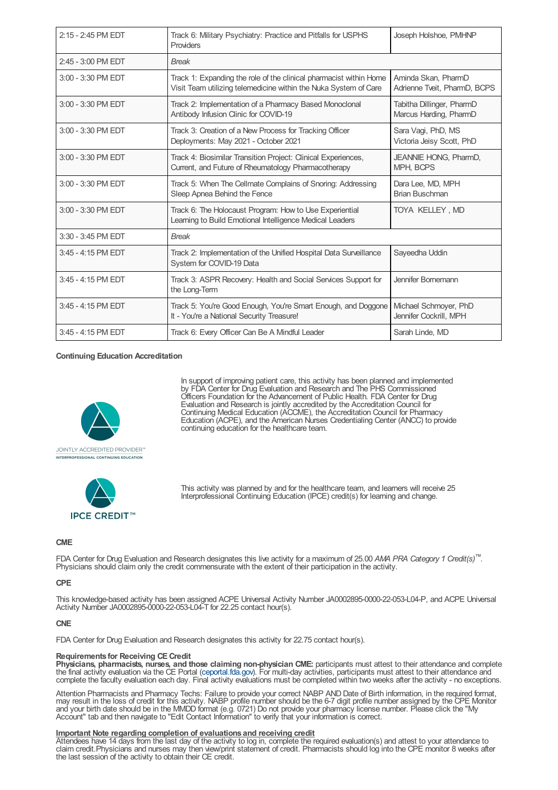| $2:15 - 2:45$ PM FDT | Track 6: Military Psychiatry: Practice and Pitfalls for USPHS<br>Providers                                                             | Joseph Holshoe, PMHNP                               |
|----------------------|----------------------------------------------------------------------------------------------------------------------------------------|-----------------------------------------------------|
| 2:45 - 3:00 PM EDT   | <b>Break</b>                                                                                                                           |                                                     |
| 3:00 - 3:30 PM EDT   | Track 1: Expanding the role of the clinical pharmacist within Home<br>Visit Team utilizing telemedicine within the Nuka System of Care | Aminda Skan, PharmD<br>Adrienne Tveit, PharmD, BCPS |
| 3:00 - 3:30 PM EDT   | Track 2: Implementation of a Pharmacy Based Monoclonal<br>Antibody Infusion Clinic for COVID-19                                        | Tabitha Dillinger, PharmD<br>Marcus Harding, PharmD |
| 3:00 - 3:30 PM EDT   | Track 3: Creation of a New Process for Tracking Officer<br>Deployments: May 2021 - October 2021                                        | Sara Vagi, PhD, MS<br>Victoria Jeisy Scott, PhD     |
| 3:00 - 3:30 PM EDT   | Track 4: Biosimilar Transition Project: Clinical Experiences,<br>Current, and Future of Rheumatology Pharmacotherapy                   | <b>JEANNIE HONG, PharmD,</b><br>MPH, BCPS           |
| 3:00 - 3:30 PM EDT   | Track 5: When The Cellmate Complains of Snoring: Addressing<br>Sleep Apnea Behind the Fence                                            | Dara Lee, MD, MPH<br>Brian Buschman                 |
| 3:00 - 3:30 PM EDT   | Track 6: The Holocaust Program: How to Use Experiential<br>Learning to Build Emotional Intelligence Medical Leaders                    | TOYA KELLEY, MD                                     |
| 3:30 - 3:45 PM EDT   | <b>Break</b>                                                                                                                           |                                                     |
| 3:45 - 4:15 PM EDT   | Track 2: Implementation of the Unified Hospital Data Surveillance<br>System for COVID-19 Data                                          | Sayeedha Uddin                                      |
| 3:45 - 4:15 PM EDT   | Track 3: ASPR Recovery: Health and Social Services Support for<br>the Long-Term                                                        | Jennifer Bornemann                                  |
| 3:45 - 4:15 PM EDT   | Track 5: You're Good Enough, You're Smart Enough, and Doggone<br>It - You're a National Security Treasure!                             | Michael Schmoyer, PhD<br>Jennifer Cockrill, MPH     |
| 3:45 - 4:15 PM EDT   | Track 6: Every Officer Can Be A Mindful Leader                                                                                         | Sarah Linde, MD                                     |

## **Continuing Education Accreditation**



In support of improving patient care, this activity has been planned and implemented by FDA Center for Drug Evaluation and Research and The PHS Commissioned Officers Foundation for the Advancement of Public Health. FDA Center for Drug Evaluation and Research is jointly accredited by the Accreditation Council for Continuing Medical Education (ACCME), the Accreditation Council for Pharmacy Education (ACPE), and the American Nurses Credentialing Center (ANCC) to provide continuing education for the healthcare team.



This activity was planned by and for the healthcare team, and learners will receive 25 Interprofessional Continuing Education (IPCE) credit(s) for learning and change.

## **CME**

FDA Center for Drug Evaluation and Research designates this live activity for a maximum of 25.00 *AMA PRA Category 1 Credit(s)* . *™*Physicians should claim only the credit commensurate with the extent of their participation in the activity.

#### **CPE**

This knowledge-based activity has been assigned ACPE Universal Activity Number JA0002895-0000-22-053-L04-P, and ACPE Universal Activity Number JA0002895-0000-22-053-L04-T for 22.25 contact hour(s).

#### **CNE**

FDA Center for Drug Evaluation and Research designates this activity for 22.75 contact hour(s).

## **Requirements for Receiving CE Credit**

**Physicians, pharmacists, nurses, and those claiming non-physician CME:** participants must attest to their attendance and complete the final activity evaluation via the CE Portal [\(ceportal.fda.gov](https://ceportal.fda.gov)). For multi-day activities, participants must attest to their attendance and complete the faculty evaluation each day. Final activity evaluations must be completed within two weeks after the activity - no exceptions.

Attention Pharmacists and Pharmacy Techs: Failure to provide your correct NABP AND Date of Birth information, in the required format,<br>may result in the loss of credit for this activity. NABP profile number should be the 6and your birth date should be in the MMDD format (e.g. 0721) Do not provide your pharmacy license number. Please click the "My Account" tab and then navigate to "Edit Contact Information" to verify that your information is correct.

## **Important Note regarding completion of evaluations and receiving credit**

Attendees have 14 days from the last day of the activity to log in, complete the required evaluation(s) and attest to your attendance to claim credit.Physicians and nurses may then view/print statement of credit. Pharmacists should log into the CPE monitor 8 weeks after the last session of the activity to obtain their CE credit.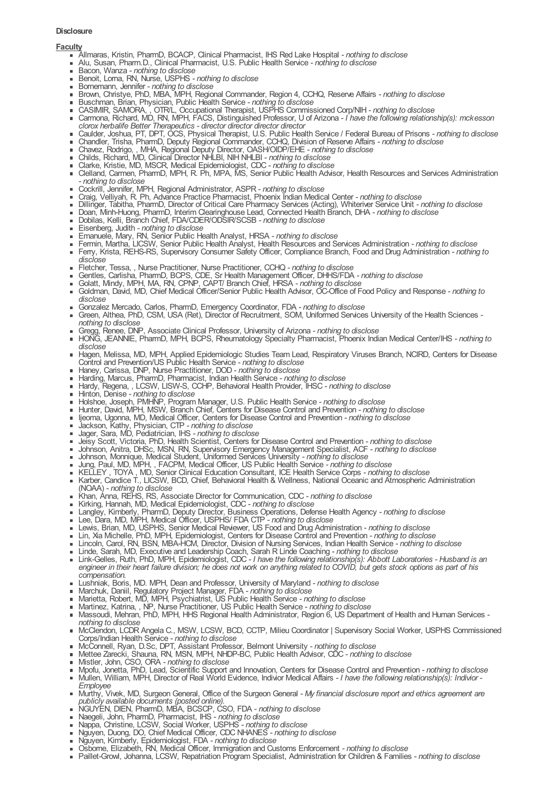## **Disclosure**

## **Faculty**

- Allmaras, Kristin, PharmD, BCACP, Clinical Pharmacist, IHS Red Lake Hospital *- nothing to disclose*
- $\blacksquare$ Alu, Susan, Pharm.D., Clinical Pharmacist, U.S. Public Health Service *- nothing to disclose*
- Bacon, Wanza *- nothing to disclose*
- Benoit, Lorna, RN, Nurse, USPHS *- nothing to disclose*
- Bornemann, Jennifer *- nothing to disclose* Brown, Christye, PhD, MBA, MPH, Regional Commander, Region 4, CCHQ, Reserve Affairs *- nothing to disclose*
- Buschman, Brian, Physician, Public Health Service *- nothing to disclose*
- CASIMIR, SAMORA, , OTR/L, Occupational Therapist, USPHS Commissioned Corp/NIH *- nothing to disclose*
- Carmona, Richard, MD, RN, MPH, FACS, Distinguished Professor, U of Arizona *- I have the following relationship(s): mckesson*  $\blacksquare$ *clorox herbalife Better Therapeutics - director director director director*
- Caulder, Joshua, PT, DPT, OCS, Physical Therapist, U.S. Public Health Service / Federal Bureau of Prisons *- nothing to disclose*
- Chandler, Trisha, PharmD, Deputy Regional Commander, CCHQ, Division of Reserve Affairs *- nothing to disclose*
- Chavez, Rodrigo, , MHA, Regional Deputy Director, OASH/OIDP/EHE *- nothing to disclose* Childs, Richard, MD, Clinical Director NHLBI, NIH NHLBI *- nothing to disclose*
- Clarke, Kristie, MD, MSCR, Medical Epidemiologist, CDC *- nothing to disclose*
- Clelland, Carmen, PharmD, MPH, R. Ph, MPA, MS, Senior Public Health Advisor, Health Resources and Services Administration *- nothing to disclose*
- Cockrill, Jennifer, MPH, Regional Administrator, ASPR *- nothing to disclose*
- Craig, Velliyah, R. Ph, Advance Practice Pharmacist, Phoenix Indian Medical Center *- nothing to disclose*
- Dillinger, Tabitha, PharmD, Director of Critical Care Pharmacy Services (Acting), Whiteriver Service Unit *- nothing to disclose*  $\blacksquare$
- Doan, Minh-Huong, PharmD, Interim Clearinghouse Lead, Connected Health Branch, DHA *- nothing to disclose*
- Dobilas, Kelli, Branch Chief, FDA/CDER/ODSIR/SCSB *- nothing to disclose*  $\mathbf{r}$
- Eisenberg, Judith *- nothing to disclose*
- Emanuele, Mary, RN, Senior Public Health Analyst, HRSA *- nothing to disclose*  $\blacksquare$
- Fermin, Martha, LICSW, Senior Public Health Analyst, Health Resources and Services Administration *- nothing to disclose* Ferry, Krista, REHS-RS, Supervisory Consumer Safety Officer, Compliance Branch, Food and Drug Administration *- nothing to*
- *disclose* Fletcher, Tessa, , Nurse Practitioner, Nurse Practitioner, CCHQ *- nothing to disclose*
- Gentles, Carlisha, PharmD, BCPS, CDE, Sr Health Management Officer, DHHS/FDA *- nothing to disclose*
- Golatt, Mindy, MPH, MA, RN, CPNP, CAPT/ Branch Chief, HRSA *- nothing to disclose*
- Goldman, David, MD, Chief Medical Officer/Senior Public Health Advisor, OC-Office of Food Policy and Response *- nothing to disclose*
- Gonzalez Mercado, Carlos, PharmD, Emergency Coordinator, FDA *- nothing to disclose*
- Green, Althea, PhD, CSM, USA (Ret), Director of Recruitment, SOM, Uniformed Services University of the Health Sciences  *nothing to disclose*
- Gregg, Renee, DNP, Associate Clinical Professor, University of Arizona *- nothing to disclose*
- HONG, JEANNIE, PharmD, MPH, BCPS, Rheumatology Specialty Pharmacist, Phoenix Indian Medical Center/IHS *- nothing to disclose*
- Hagen, Melissa, MD, MPH, Applied Epidemiologic Studies Team Lead, Respiratory Viruses Branch, NCIRD, Centers for Disease Control and Prevention/US Public Health Service *- nothing to disclose*
- Haney, Carissa, DNP, Nurse Practitioner, DOD *- nothing to disclose*
- Harding, Marcus, PharmD, Pharmacist, Indian Health Service *- nothing to disclose*
- Hardy, Regena, , LCSW, LISW-S, CCHP, Behavioral Health Provider, IHSC *- nothing to disclose*
- Hinton, Denise *- nothing to disclose*
- Holshoe, Joseph, PMHNP, Program Manager, U.S. Public Health Service *- nothing to disclose*
- Hunter, David, MPH, MSW, Branch Chief, Centers for Disease Control and Prevention *- nothing to disclose*
- Ijeoma, Ugonna, MD, Medical Officer, Centers for Disease Control and Prevention *- nothing to disclose*
- Jackson, Kathy, Physician, CTP *- nothing to disclose*  $\blacksquare$
- $\blacksquare$ Jager, Sara, MD, Pediatrician, IHS *- nothing to disclose*
- Jeisy Scott, Victoria, PhD, Health Scientist, Centers for Disease Control and Prevention *- nothing to disclose*  $\mathbf{u}$  .
- Johnson, Anitra, DHSc, MSN, RN, Supervisory Emergency Management Specialist, ACF *- nothing to disclose*  $\blacksquare$
- Johnson, Monnique, Medical Student, Uniformed Services University *- nothing to disclose*  $\blacksquare$
- Jung, Paul, MD, MPH, , FACPM, Medical Officer, US Public Health Service *- nothing to disclose*
- KELLEY , TOYA , MD, Senior Clinical Education Consultant, ICE Health Service Corps *- nothing to disclose*  $\alpha$
- Karber, Candice T., LICSW, BCD, Chief, Behavioral Health & Wellness, National Oceanic and Atmospheric Administration  $\blacksquare$ (NOAA) *- nothing to disclose*
- Khan, Anna, REHS, RS, Associate Director for Communication, CDC *- nothing to disclose*
- Kirking, Hannah, MD, Medical Epidemiologist, CDC *- nothing to disclose*
- Langley, Kimberly, PharmD, Deputy Director, Business Operations, Defense Health Agency *- nothing to disclose*
- Lee, Dara, MD, MPH, Medical Officer, USPHS/ FDA CTP *- nothing to disclose*
- Lewis, Brian, MD, USPHS, Senior Medical Reviewer, US Food and Drug Administration *- nothing to disclose*
- Lin, Xia Michelle, PhD, MPH, Epidemiologist, Centers for Disease Control and Prevention *- nothing to disclose*
- Lincoln, Carol, RN, BSN, MBA-HCM, Director, Division of Nursing Services, Indian Health Service *- nothing to disclose*
- Linde, Sarah, MD, Executive and Leadership Coach, Sarah R Linde Coaching *- nothing to disclose*
- Link-Gelles, Ruth, PhD, MPH, Epidemiologist, CDC *- I have the following relationship(s): Abbott Laboratories - Husband is an* engineer in their heart failure division; he does not work on anything related to COVID, but gets stock options as part of his *compensation.*
- Lushniak, Boris, MD. MPH, Dean and Professor, University of Maryland *- nothing to disclose*
- Marchuk, Daniil, Regulatory Project Manager, FDA *- nothing to disclose*
- Marietta, Robert, MD, MPH, Psychiatrist, US Public Health Service *- nothing to disclose*
- Martinez, Katrina, , NP, Nurse Practitioner, US Public Health Service *- nothing to disclose*
- Massoudi, Mehran, PhD, MPH, HHS Regional Health Administrator, Region 6, US Department of Health and Human Services  *nothing to disclose*
- McClendon, LCDR Angela C., MSW, LCSW, BCD, CCTP, Milieu Coordinator | Supervisory Social Worker, USPHS Commissioned Corps/Indian Health Service *- nothing to disclose*
- McConnell, Ryan, D.Sc, DPT, Assistant Professor, Belmont University *- nothing to disclose*
- Mettee Zarecki, Shauna, RN, MSN, MPH, NHDP-BC, Public Health Advisor, CDC *- nothing to disclose*
- Mistler, John, CSO, ORA *- nothing to disclose*
- Mpofu, Jonetta, PhD, Lead, Scientific Support and Innovation, Centers for Disease Control and Prevention *- nothing to disclose*
- Mullen, William, MPH, Director of Real World Evidence, Indivior Medical Affairs *- I have the following relationship(s): Indivior - Employee*
- Murthy, Vivek, MD, Surgeon General, Office of the Surgeon General *- My financial disclosure report and ethics agreement are publicly available documents (posted online).*
- NGUYEN, DIEN, PharmD, MBA, BCSCP, CSO, FDA *- nothing to disclose*
- Naegeli, John, PharmD, Pharmacist, IHS *- nothing to disclose*
- Nappa, Christine, LCSW, Social Worker, USPHS *- nothing to disclose*
- Nguyen, Duong, DO, Chief Medical Officer, CDC NHANES *- nothing to disclose*
- Nguyen, Kimberly, Epidemiologist, FDA *- nothing to disclose*
- Osborne, Elizabeth, RN, Medical Officer, Immigration and Customs Enforcement *- nothing to disclose*
- Paillet-Growl, Johanna, LCSW, Repatriation Program Specialist, Administration for Children & Families *- nothing to disclose*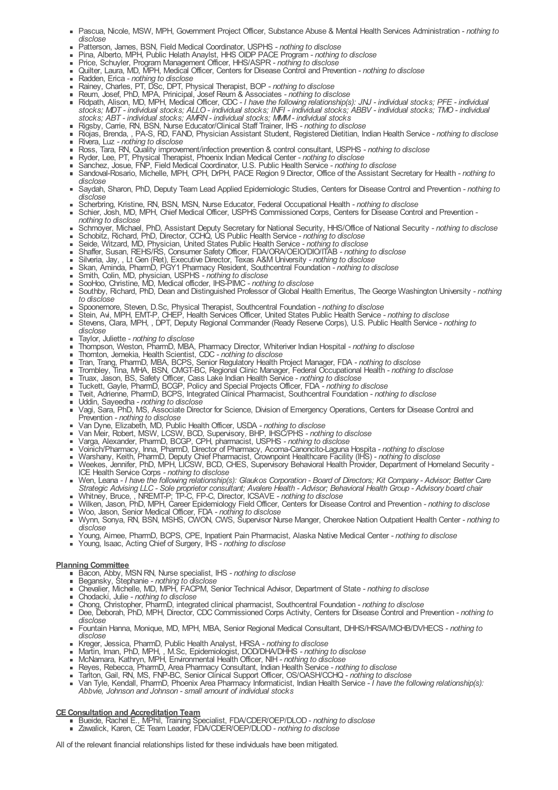- Pascua, Nicole, MSW, MPH, Government Project Officer, Substance Abuse & Mental Health Services Administration *- nothing to disclose*
- Patterson, James, BSN, Field Medical Coordinator, USPHS *- nothing to disclose*
- Pina, Alberto, MPH, Public Helath Anaylst, HHS OIDP PACE Program *- nothing to disclose*
- Price, Schuyler, Program Management Officer, HHS/ASPR *- nothing to disclose* Quilter, Laura, MD, MPH, Medical Officer, Centers for Disease Control and Prevention *- nothing to disclose*
- Radden, Erica *- nothing to disclose*
- Rainey, Charles, PT, DSc, DPT, Physical Therapist, BOP *- nothing to disclose*
- Reum, Josef, PhD, MPA, Prinicipal, Josef Reum & Associates *- nothing to disclose*
- Ridpath, Alison, MD, MPH, Medical Officer, CDC *- I have the following relationship(s): JNJ - individual stocks; PFE - individual* stocks; MDT - individual stocks; ALLO - individual stocks; INFI - individual stocks; ABBV - individual stocks; TMO - individual *stocks; ABT - individual stocks; AMRN - individual stocks; MMM- individual stocks*
- Rigsby, Carrie, RN, BSN, Nurse Educator/Clinical Staff Trainer, IHS *- nothing to disclose*
- Riojas, Brenda, , PA-S, RD, FAND, Physician Assistant Student, Registered Dietitian, Indian Health Service *- nothing to disclose* Rivera, Luz *- nothing to disclose*
- Ross, Tara, RN, Quality improvement/infection prevention & control consultant, USPHS *- nothing to disclose*
- Ryder, Lee, PT, Physical Therapist, Phoenix Indian Medical Center *- nothing to disclose*
- Sanchez, Josue, FNP, Field Medical Coordinator, U.S. Public Health Service *- nothing to disclose*
- Sandoval-Rosario, Michelle, MPH, CPH, DrPH, PACE Region 9 Director, Office of the Assistant Secretary for Health *- nothing to*  $\blacksquare$ *disclose*
- Saydah, Sharon, PhD, Deputy Team Lead Applied Epidemiologic Studies, Centers for Disease Control and Prevention *- nothing to disclose*
- Scherbring, Kristine, RN, BSN, MSN, Nurse Educator, Federal Occupational Health *- nothing to disclose*
- Schier, Josh, MD, MPH, Chief Medical Officer, USPHS Commissioned Corps, Centers for Disease Control and Prevention  *nothing to disclose*
- Schmoyer, Michael, PhD, Assistant Deputy Secretary for National Security, HHS/Office of National Security *- nothing to disclose* Schobitz, Richard, PhD, Director, CCHQ, US Public Health Service *- nothing to disclose*
- Seide, Witzard, MD, Physician, United States Public Health Service *- nothing to disclose*
- Shaffer, Susan, REHS/RS, Consumer Safety Officer, FDA/ORA/OEIO/DIO/ITAB *- nothing to disclose*
- Silveria, Jay, , Lt Gen (Ret), Executive Director, Texas A&M University *- nothing to disclose*
- Skan, Aminda, PharmD, PGY1 Pharmacy Resident, Southcentral Foundation *- nothing to disclose*  $\bullet$
- Smith, Colin, MD, physician, USPHS *- nothing to disclose*
- SooHoo, Christine, MD, Medical officder, IHS-PIMC *- nothing to disclose*  $\mathbf{r}$
- Southby, Richard, PhD, Dean and Distinguished Professor of Global Health Emeritus, The George Washington University *- nothing*  $\blacksquare$ *to disclose*
- Spoonemore, Steven, D.Sc, Physical Therapist, Southcentral Foundation *- nothing to disclose*
- Stein, Avi, MPH, EMT-P, CHEP, Health Services Officer, United States Public Health Service *- nothing to disclose*
- Stevens, Clara, MPH, , DPT, Deputy Regional Commander (Ready Reserve Corps), U.S. Public Health Service *- nothing to disclose*
- Taylor, Juliette *- nothing to disclose*  $\sim$
- Thompson, Weston, PharmD, MBA, Pharmacy Director, Whiteriver Indian Hospital *- nothing to disclose*  $\blacksquare$
- $\alpha$ Thornton, Jemekia, Health Scientist, CDC *- nothing to disclose*
- $\hat{\mathbf{r}}$ Tran, Trang, PharmD, MBA, BCPS, Senior Regulatory Health Project Manager, FDA *- nothing to disclose*
- Trombley, Tina, MHA, BSN, CMGT-BC, Regional Clinic Manager, Federal Occupational Health *- nothing to disclose*  $\blacksquare$
- Truax, Jason, BS, Safety Officer, Cass Lake Indian Health Service *- nothing to disclose*  $\bullet$
- $\bullet$ Tuckett, Gayle, PharmD, BCGP, Policy and Special Projects Officer, FDA *- nothing to disclose*
- Tveit, Adrienne, PharmD, BCPS, Integrated Clinical Pharmacist, Southcentral Foundation *- nothing to disclose*  $\mathbf{r}$
- Uddin, Sayeedha *- nothing to disclose*
- Vagi, Sara, PhD, MS, Associate Director for Science, Division of Emergency Operations, Centers for Disease Control and Prevention *- nothing to disclose*
- Van Dyne, Elizabeth, MD, Public Health Officer, USDA *- nothing to disclose*  $\blacksquare$
- $\mathbf{r}$ Van Meir, Robert, MSW, LCSW, BCD, Supervisory, BHP, IHSC/PHS *- nothing to disclose*
- Varga, Alexander, PharmD, BCGP, CPH, pharmacist, USPHS *- nothing to disclose*  $\blacksquare$
- Voinich/Pharmacy, Inna, PharmD, Director of Pharmacy, Acoma-Canoncito-Laguna Hospita *- nothing to disclose*  $\mathbf{u}$  .
- Warshany, Keith, PharmD, Deputy Chief Pharmacist, Crownpoint Healthcare Facility (IHS) *- nothing to disclose*  $\mathbf{m}$  .
- $\blacksquare$ Weekes, Jennifer, PhD, MPH, LICSW, BCD, CHES, Supervisory Behavioral Health Provider, Department of Homeland Security - ICE Health Service Corps *- nothing to disclose*
- Wen, Leana I have the following relationship(s): Glaukos Corporation Board of Directors; Kit Company Advisor; Better Care Strategic Advising LLC - Sole proprietor consultant; Avalere Health - Advisor; Behavioral Health Group - Advisory board chair
- Whitney, Bruce, , NREMT-P; TP-C, FP-C, Director, ICSAVE *- nothing to disclose*
- Wilken, Jason, PhD, MPH, Career Epidemiology Field Officer, Centers for Disease Control and Prevention *- nothing to disclose* Woo, Jason, Senior Medical Officer, FDA *- nothing to disclose*
- Wynn, Sonya, RN, BSN, MSHS, CWON, CWS, Supervisor Nurse Manger, Cherokee Nation Outpatient Health Center *- nothing to disclose*
- $\blacksquare$ Young, Aimee, PharmD, BCPS, CPE, Inpatient Pain Pharmacist, Alaska Native Medical Center *- nothing to disclose*
- Young, Isaac, Acting Chief of Surgery, IHS *- nothing to disclose*

# **Planning Committee**

- Bacon, Abby, MSN RN, Nurse specialist, IHS *- nothing to disclose*
- Begansky, Stephanie *- nothing to disclose*
- Chevalier, Michelle, MD, MPH, FACPM, Senior Technical Advisor, Department of State *- nothing to disclose*
- Chodacki, Julie *- nothing to disclose*
- Chong, Christopher, PharmD, integrated clinical pharmacist, Southcentral Foundation *- nothing to disclose*
- Dee, Deborah, PhD, MPH, Director, CDC Commissioned Corps Activity, Centers for Disease Control and Prevention *- nothing to disclose*
- Fountain Hanna, Monique, MD, MPH, MBA, Senior Regional Medical Consultant, DHHS/HRSA/MCHB/DVHECS *- nothing to disclose*
- Kreger, Jessica, PharmD, Public Health Analyst, HRSA *- nothing to disclose*
- Martin, Iman, PhD, MPH, , M.Sc, Epidemiologist, DOD/DHA/DHHS *- nothing to disclose*
- McNamara, Kathryn, MPH, Environmental Health Officer, NIH *- nothing to disclose*
- Reyes, Rebecca, PharmD, Area Pharmacy Consultant, Indian Health Service *- nothing to disclose*
- Tarlton, Gail, RN, MS, FNP-BC, Senior Clinical Support Officer, OS/OASH/CCHQ *- nothing to disclose*
- Van Tyle, Kendall, PharmD, Phoenix Area Pharmacy Informaticist, Indian Health Service *- I have the following relationship(s): Abbvie, Johnson and Johnson - small amount of individual stocks*

# **CEConsultation and Accreditation Team**

- Bueide, Rachel E., MPhil, Training Specialist, FDA/CDER/OEP/DLOD *nothing to disclose*
- Zawalick, Karen, CE Team Leader, FDA/CDER/OEP/DLOD *nothing to disclose*

All of the relevant financial relationships listed for these individuals have been mitigated.